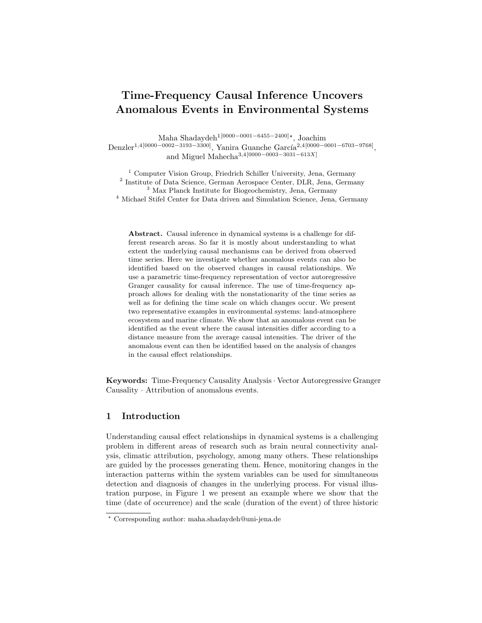# Time-Frequency Causal Inference Uncovers Anomalous Events in Environmental Systems

Maha Shadaydeh<sup>1[0000–0001–6455–2400]\*</sup>, Joachim Denzler<sup>1,4[0000–0002–3193–3300]</sup>, Yanira Guanche García<sup>2,4[0000–0001–6703–9768]<sub>,</sub></sup> and Miguel Mahecha3,4[0000−0003−3031−613X]

<sup>1</sup> Computer Vision Group, Friedrich Schiller University, Jena, Germany Institute of Data Science, German Aerospace Center, DLR, Jena, Germany Max Planck Institute for Biogeochemistry, Jena, Germany Michael Stifel Center for Data driven and Simulation Science, Jena, Germany

Abstract. Causal inference in dynamical systems is a challenge for different research areas. So far it is mostly about understanding to what extent the underlying causal mechanisms can be derived from observed time series. Here we investigate whether anomalous events can also be identified based on the observed changes in causal relationships. We use a parametric time-frequency representation of vector autoregressive Granger causality for causal inference. The use of time-frequency approach allows for dealing with the nonstationarity of the time series as well as for defining the time scale on which changes occur. We present two representative examples in environmental systems: land-atmosphere ecosystem and marine climate. We show that an anomalous event can be identified as the event where the causal intensities differ according to a distance measure from the average causal intensities. The driver of the anomalous event can then be identified based on the analysis of changes in the causal effect relationships.

Keywords: Time-Frequency Causality Analysis · Vector Autoregressive Granger Causality · Attribution of anomalous events.

# 1 Introduction

Understanding causal effect relationships in dynamical systems is a challenging problem in different areas of research such as brain neural connectivity analysis, climatic attribution, psychology, among many others. These relationships are guided by the processes generating them. Hence, monitoring changes in the interaction patterns within the system variables can be used for simultaneous detection and diagnosis of changes in the underlying process. For visual illustration purpose, in Figure 1 we present an example where we show that the time (date of occurrence) and the scale (duration of the event) of three historic

<sup>?</sup> Corresponding author: maha.shadaydeh@uni-jena.de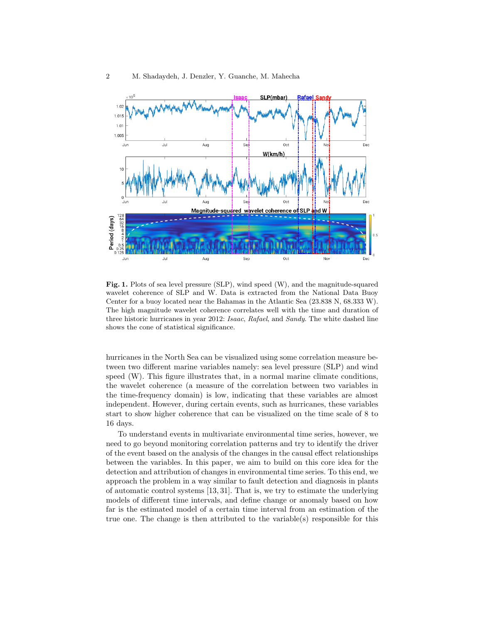

Fig. 1. Plots of sea level pressure (SLP), wind speed (W), and the magnitude-squared wavelet coherence of SLP and W. Data is extracted from the National Data Buoy Center for a buoy located near the Bahamas in the Atlantic Sea (23.838 N, 68.333 W). The high magnitude wavelet coherence correlates well with the time and duration of three historic hurricanes in year 2012: Isaac, Rafael, and Sandy. The white dashed line shows the cone of statistical significance.

hurricanes in the North Sea can be visualized using some correlation measure between two different marine variables namely: sea level pressure (SLP) and wind speed (W). This figure illustrates that, in a normal marine climate conditions, the wavelet coherence (a measure of the correlation between two variables in the time-frequency domain) is low, indicating that these variables are almost independent. However, during certain events, such as hurricanes, these variables start to show higher coherence that can be visualized on the time scale of 8 to 16 days.

To understand events in multivariate environmental time series, however, we need to go beyond monitoring correlation patterns and try to identify the driver of the event based on the analysis of the changes in the causal effect relationships between the variables. In this paper, we aim to build on this core idea for the detection and attribution of changes in environmental time series. To this end, we approach the problem in a way similar to fault detection and diagnosis in plants of automatic control systems [13, 31]. That is, we try to estimate the underlying models of different time intervals, and define change or anomaly based on how far is the estimated model of a certain time interval from an estimation of the true one. The change is then attributed to the variable(s) responsible for this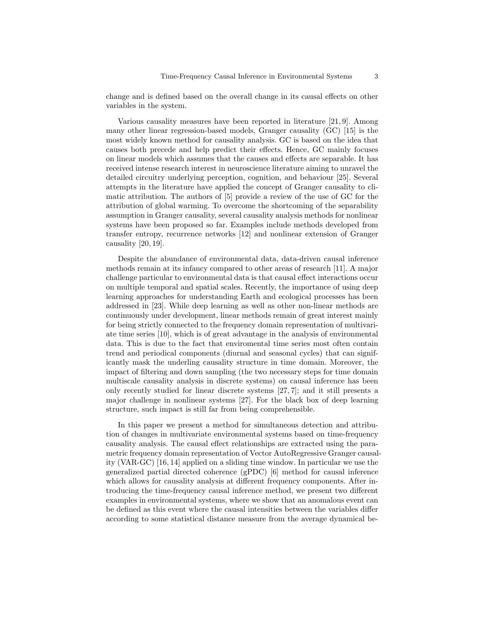change and is defined based on the overall change in its causal effects on other variables in the system.

Various causality measures have been reported in literature [21, 9]. Among many other linear regression-based models, Granger causality (GC) [15] is the most widely known method for causality analysis. GC is based on the idea that causes both precede and help predict their effects. Hence, GC mainly focuses on linear models which assumes that the causes and effects are separable. It has received intense research interest in neuroscience literature aiming to unravel the detailed circuitry underlying perception, cognition, and behaviour [25]. Several attempts in the literature have applied the concept of Granger causality to climatic attribution. The authors of [5] provide a review of the use of GC for the attribution of global warming. To overcome the shortcoming of the separability assumption in Granger causality, several causality analysis methods for nonlinear systems have been proposed so far. Examples include methods developed from transfer entropy, recurrence networks [12] and nonlinear extension of Granger causality [20, 19].

Despite the abundance of environmental data, data-driven causal inference methods remain at its infancy compared to other areas of research [11]. A major challenge particular to environmental data is that causal effect interactions occur on multiple temporal and spatial scales. Recently, the importance of using deep learning approaches for understanding Earth and ecological processes has been addressed in [23]. While deep learning as well as other non-linear methods are continuously under development, linear methods remain of great interest mainly for being strictly connected to the frequency domain representation of multivariate time series [10], which is of great advantage in the analysis of environmental data. This is due to the fact that enviromental time series most often contain trend and periodical components (diurnal and seasonal cycles) that can significantly mask the underling causality structure in time domain. Moreover, the impact of filtering and down sampling (the two necessary steps for time domain multiscale causality analysis in discrete systems) on causal inference has been only recently studied for linear discrete systems [27, 7]; and it still presents a major challenge in nonlinear systems [27]. For the black box of deep learning structure, such impact is still far from being comprehensible.

In this paper we present a method for simultaneous detection and attribution of changes in multivariate environmental systems based on time-frequency causality analysis. The causal effect relationships are extracted using the parametric frequency domain representation of Vector AutoRegressive Granger causality (VAR-GC) [16, 14] applied on a sliding time window. In particular we use the generalized partial directed coherence (gPDC) [6] method for causal inference which allows for causality analysis at different frequency components. After introducing the time-frequency causal inference method, we present two different examples in environmental systems, where we show that an anomalous event can be defined as this event where the causal intensities between the variables differ according to some statistical distance measure from the average dynamical be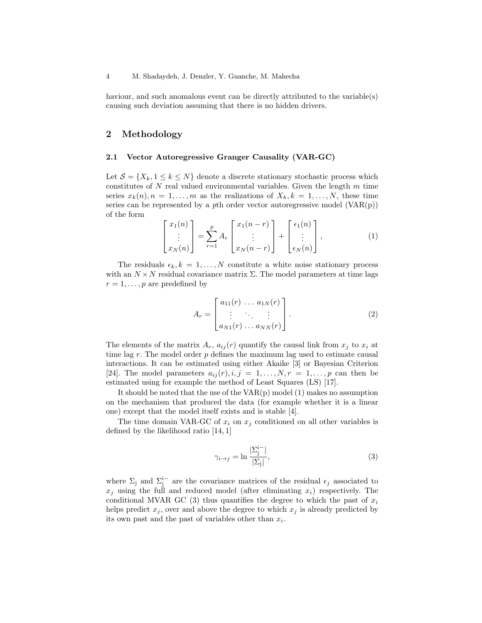haviour, and such anomalous event can be directly attributed to the variable(s) causing such deviation assuming that there is no hidden drivers.

## 2 Methodology

#### 2.1 Vector Autoregressive Granger Causality (VAR-GC)

Let  $S = \{X_k, 1 \leq k \leq N\}$  denote a discrete stationary stochastic process which constitutes of  $N$  real valued environmental variables. Given the length  $m$  time series  $x_k(n), n = 1, \ldots, m$  as the realizations of  $X_k, k = 1, \ldots, N$ , these time series can be represented by a pth order vector autoregressive model  $(VAR(p))$ of the form

$$
\begin{bmatrix} x_1(n) \\ \vdots \\ x_N(n) \end{bmatrix} = \sum_{r=1}^p A_r \begin{bmatrix} x_1(n-r) \\ \vdots \\ x_N(n-r) \end{bmatrix} + \begin{bmatrix} \epsilon_1(n) \\ \vdots \\ \epsilon_N(n) \end{bmatrix},
$$
 (1)

The residuals  $\epsilon_k, k = 1, ..., N$  constitute a white noise stationary process with an  $N \times N$  residual covariance matrix  $\Sigma$ . The model parameters at time lags  $r = 1, \ldots, p$  are predefined by

$$
A_r = \begin{bmatrix} a_{11}(r) & \dots & a_{1N}(r) \\ \vdots & \ddots & \vdots \\ a_{N1}(r) & \dots & a_{NN}(r) \end{bmatrix} . \tag{2}
$$

The elements of the matrix  $A_r$ ,  $a_{ij}(r)$  quantify the causal link from  $x_j$  to  $x_i$  at time lag r. The model order  $p$  defines the maximum lag used to estimate causal interactions. It can be estimated using either Akaike [3] or Bayesian Criterion [24]. The model parameters  $a_{ij}(r), i, j = 1, \ldots, N, r = 1, \ldots, p$  can then be estimated using for example the method of Least Squares (LS) [17].

It should be noted that the use of the  $VAR(p) \text{ model } (1)$  makes no assumption on the mechanism that produced the data (for example whether it is a linear one) except that the model itself exists and is stable [4].

The time domain VAR-GC of  $x_i$  on  $x_j$  conditioned on all other variables is defined by the likelihood ratio [14, 1]

$$
\gamma_{i \to j} = \ln \frac{|\Sigma_j^{i-}|}{|\Sigma_j|},\tag{3}
$$

where  $\Sigma_j$  and  $\Sigma_j^{i-}$  are the covariance matrices of the residual  $\epsilon_j$  associated to  $x_i$  using the full and reduced model (after eliminating  $x_i$ ) respectively. The conditional MVAR GC (3) thus quantifies the degree to which the past of  $x_i$ helps predict  $x_j$ , over and above the degree to which  $x_j$  is already predicted by its own past and the past of variables other than  $x_i$ .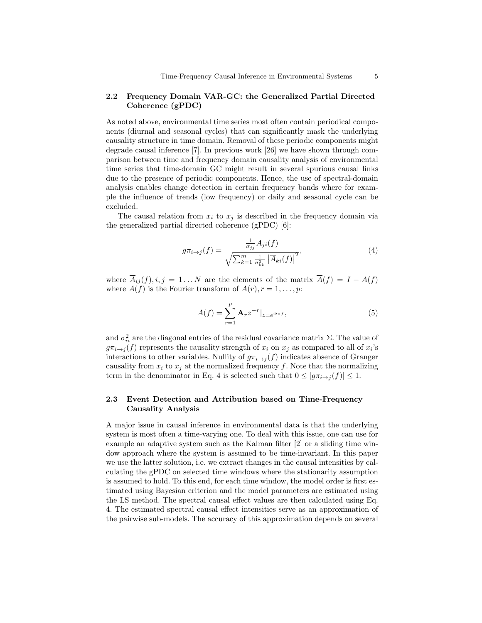## 2.2 Frequency Domain VAR-GC: the Generalized Partial Directed Coherence (gPDC)

As noted above, environmental time series most often contain periodical components (diurnal and seasonal cycles) that can significantly mask the underlying causality structure in time domain. Removal of these periodic components might degrade causal inference [7]. In previous work [26] we have shown through comparison between time and frequency domain causality analysis of environmental time series that time-domain GC might result in several spurious causal links due to the presence of periodic components. Hence, the use of spectral-domain analysis enables change detection in certain frequency bands where for example the influence of trends (low frequency) or daily and seasonal cycle can be excluded.

The causal relation from  $x_i$  to  $x_j$  is described in the frequency domain via the generalized partial directed coherence (gPDC) [6]:

$$
g\pi_{i\to j}(f) = \frac{\frac{1}{\sigma_{jj}}\overline{A}_{ji}(f)}{\sqrt{\sum_{k=1}^{m}\frac{1}{\sigma_{kk}^2}|\overline{A}_{ki}(f)|^2}},\tag{4}
$$

where  $\overline{A}_{ij}(f), i, j = 1...N$  are the elements of the matrix  $\overline{A}(f) = I - A(f)$ where  $A(f)$  is the Fourier transform of  $A(r)$ ,  $r = 1, \ldots, p$ :

$$
A(f) = \sum_{r=1}^{p} \mathbf{A}_r z^{-r} |_{z=e^{i2\pi f}},
$$
\n(5)

and  $\sigma_{ii}^2$  are the diagonal entries of the residual covariance matrix  $\Sigma$ . The value of  $g\pi_{i\rightarrow j}(f)$  represents the causality strength of  $x_i$  on  $x_j$  as compared to all of  $x_i$ 's interactions to other variables. Nullity of  $g\pi_{i\to j}(f)$  indicates absence of Granger causality from  $x_i$  to  $x_j$  at the normalized frequency f. Note that the normalizing term in the denominator in Eq. 4 is selected such that  $0 \leq |g\pi_{i\to j}(f)| \leq 1$ .

## 2.3 Event Detection and Attribution based on Time-Frequency Causality Analysis

A major issue in causal inference in environmental data is that the underlying system is most often a time-varying one. To deal with this issue, one can use for example an adaptive system such as the Kalman filter [2] or a sliding time window approach where the system is assumed to be time-invariant. In this paper we use the latter solution, i.e. we extract changes in the causal intensities by calculating the gPDC on selected time windows where the stationarity assumption is assumed to hold. To this end, for each time window, the model order is first estimated using Bayesian criterion and the model parameters are estimated using the LS method. The spectral causal effect values are then calculated using Eq. 4. The estimated spectral causal effect intensities serve as an approximation of the pairwise sub-models. The accuracy of this approximation depends on several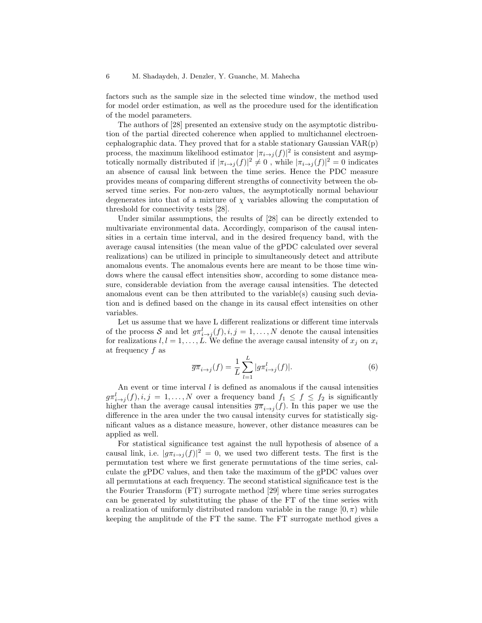factors such as the sample size in the selected time window, the method used for model order estimation, as well as the procedure used for the identification of the model parameters.

The authors of [28] presented an extensive study on the asymptotic distribution of the partial directed coherence when applied to multichannel electroencephalographic data. They proved that for a stable stationary Gaussian  $VAR(p)$ process, the maximum likelihood estimator  $|\pi_{i\to j}(f)|^2$  is consistent and asymptotically normally distributed if  $|\pi_{i\to j}(f)|^2 \neq 0$ , while  $|\pi_{i\to j}(f)|^2 = 0$  indicates an absence of causal link between the time series. Hence the PDC measure provides means of comparing different strengths of connectivity between the observed time series. For non-zero values, the asymptotically normal behaviour degenerates into that of a mixture of  $\chi$  variables allowing the computation of threshold for connectivity tests [28].

Under similar assumptions, the results of [28] can be directly extended to multivariate environmental data. Accordingly, comparison of the causal intensities in a certain time interval, and in the desired frequency band, with the average causal intensities (the mean value of the gPDC calculated over several realizations) can be utilized in principle to simultaneously detect and attribute anomalous events. The anomalous events here are meant to be those time windows where the causal effect intensities show, according to some distance measure, considerable deviation from the average causal intensities. The detected anomalous event can be then attributed to the variable(s) causing such deviation and is defined based on the change in its causal effect intensities on other variables.

Let us assume that we have L different realizations or different time intervals of the process S and let  $g\pi_{i\to j}^l(f), i, j = 1, \ldots, N$  denote the causal intensities for realizations  $l, l = 1, \ldots, L$ . We define the average causal intensity of  $x_j$  on  $x_i$ at frequency  $f$  as

$$
\overline{g\pi}_{i\to j}(f) = \frac{1}{L} \sum_{l=1}^{L} |g\pi_{i\to j}^l(f)|.
$$
 (6)

An event or time interval  $l$  is defined as anomalous if the causal intensities  $g\pi_{i\rightarrow j}^{l}(f), i, j = 1, \ldots, N$  over a frequency band  $f_1 \leq f \leq f_2$  is significantly higher than the average causal intensities  $\overline{g\pi}_{i\to j}(f)$ . In this paper we use the difference in the area under the two causal intensity curves for statistically significant values as a distance measure, however, other distance measures can be applied as well.

For statistical significance test against the null hypothesis of absence of a causal link, i.e.  $|g\pi_{i\to j}(f)|^2 = 0$ , we used two different tests. The first is the permutation test where we first generate permutations of the time series, calculate the gPDC values, and then take the maximum of the gPDC values over all permutations at each frequency. The second statistical significance test is the the Fourier Transform (FT) surrogate method [29] where time series surrogates can be generated by substituting the phase of the FT of the time series with a realization of uniformly distributed random variable in the range  $[0, \pi)$  while keeping the amplitude of the FT the same. The FT surrogate method gives a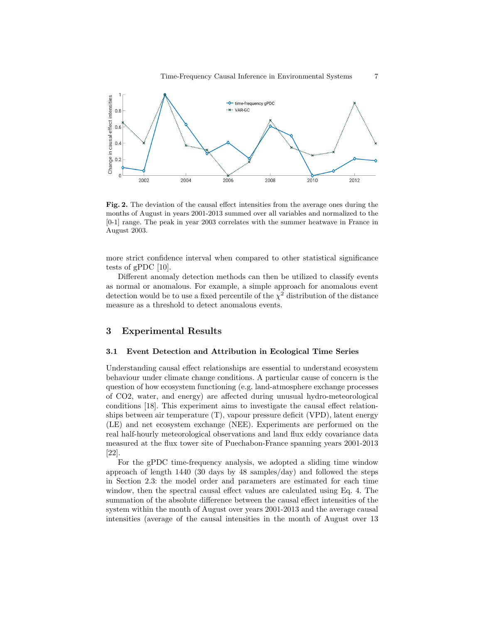

Fig. 2. The deviation of the causal effect intensities from the average ones during the months of August in years 2001-2013 summed over all variables and normalized to the [0-1] range. The peak in year 2003 correlates with the summer heatwave in France in August 2003.

more strict confidence interval when compared to other statistical significance tests of gPDC [10].

Different anomaly detection methods can then be utilized to classify events as normal or anomalous. For example, a simple approach for anomalous event detection would be to use a fixed percentile of the  $\chi^2$  distribution of the distance measure as a threshold to detect anomalous events.

## 3 Experimental Results

#### 3.1 Event Detection and Attribution in Ecological Time Series

Understanding causal effect relationships are essential to understand ecosystem behaviour under climate change conditions. A particular cause of concern is the question of how ecosystem functioning (e.g. land-atmosphere exchange processes of CO2, water, and energy) are affected during unusual hydro-meteorological conditions [18]. This experiment aims to investigate the causal effect relationships between air temperature (T), vapour pressure deficit (VPD), latent energy (LE) and net ecosystem exchange (NEE). Experiments are performed on the real half-hourly meteorological observations and land flux eddy covariance data measured at the flux tower site of Puechabon-France spanning years 2001-2013 [22].

For the gPDC time-frequency analysis, we adopted a sliding time window approach of length 1440 (30 days by 48 samples/day) and followed the steps in Section 2.3: the model order and parameters are estimated for each time window, then the spectral causal effect values are calculated using Eq. 4. The summation of the absolute difference between the causal effect intensities of the system within the month of August over years 2001-2013 and the average causal intensities (average of the causal intensities in the month of August over 13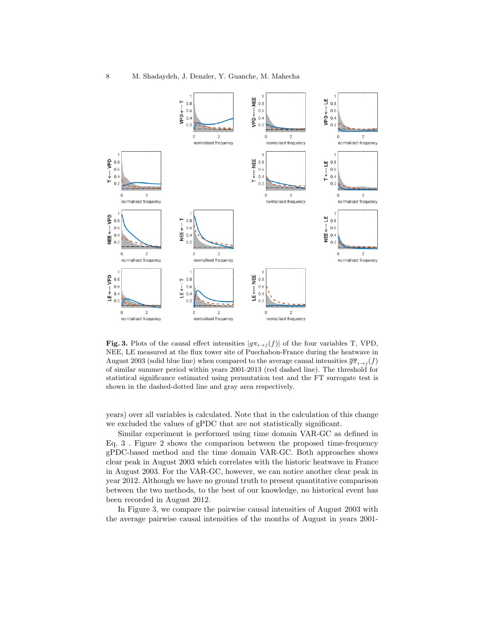

Fig. 3. Plots of the causal effect intensities  $|g\pi_{i\to j}(f)|$  of the four variables T, VPD, NEE, LE measured at the flux tower site of Puechabon-France during the heatwave in August 2003 (solid blue line) when compared to the average causal intensities  $\overline{g\pi}_{i\to j}(f)$ of similar summer period within years 2001-2013 (red dashed line). The threshold for statistical significance estimated using permutation test and the FT surrogate test is shown in the dashed-dotted line and gray area respectively.

years) over all variables is calculated. Note that in the calculation of this change we excluded the values of gPDC that are not statistically significant.

Similar experiment is performed using time domain VAR-GC as defined in Eq. 3 . Figure 2 shows the comparison between the proposed time-frequency gPDC-based method and the time domain VAR-GC. Both approaches shows clear peak in August 2003 which correlates with the historic heatwave in France in August 2003. For the VAR-GC, however, we can notice another clear peak in year 2012. Although we have no ground truth to present quantitative comparison between the two methods, to the best of our knowledge, no historical event has been recorded in August 2012.

In Figure 3, we compare the pairwise causal intensities of August 2003 with the average pairwise causal intensities of the months of August in years 2001-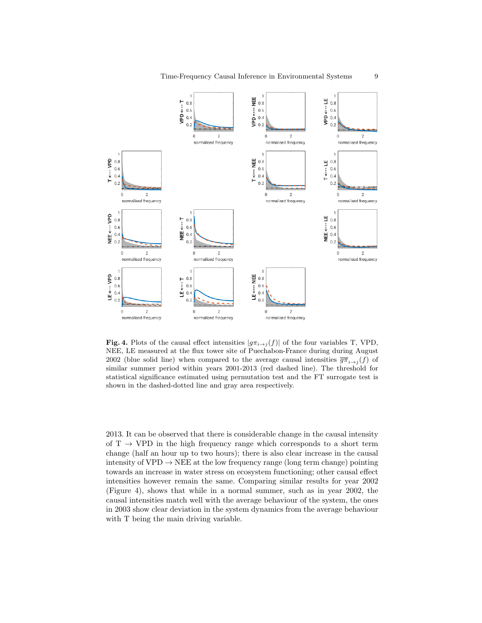

Fig. 4. Plots of the causal effect intensities  $|g\pi_{i\to j}(f)|$  of the four variables T, VPD, NEE, LE measured at the flux tower site of Puechabon-France during during August 2002 (blue solid line) when compared to the average causal intensities  $\overline{g\pi}_{i\to j}(f)$  of similar summer period within years 2001-2013 (red dashed line). The threshold for statistical significance estimated using permutation test and the FT surrogate test is shown in the dashed-dotted line and gray area respectively.

2013. It can be observed that there is considerable change in the causal intensity of  $T \rightarrow VPD$  in the high frequency range which corresponds to a short term change (half an hour up to two hours); there is also clear increase in the causal intensity of  $VPD \rightarrow NEE$  at the low frequency range (long term change) pointing towards an increase in water stress on ecosystem functioning; other causal effect intensities however remain the same. Comparing similar results for year 2002 (Figure 4), shows that while in a normal summer, such as in year 2002, the causal intensities match well with the average behaviour of the system, the ones in 2003 show clear deviation in the system dynamics from the average behaviour with T being the main driving variable.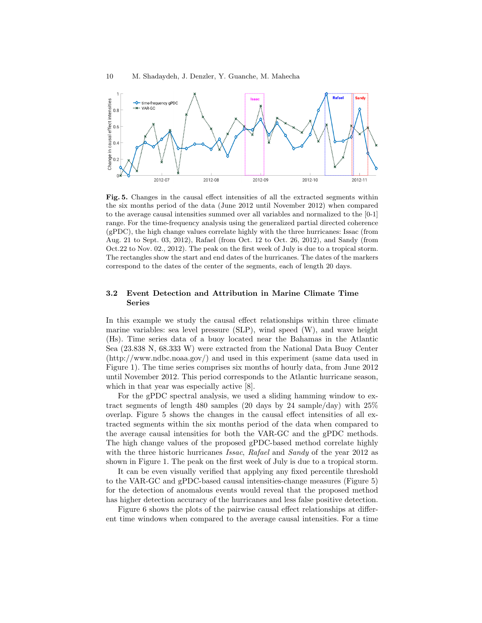

Fig. 5. Changes in the causal effect intensities of all the extracted segments within the six months period of the data (June 2012 until November 2012) when compared to the average causal intensities summed over all variables and normalized to the [0-1] range. For the time-frequency analysis using the generalized partial directed coherence (gPDC), the high change values correlate highly with the three hurricanes: Issac (from Aug. 21 to Sept. 03, 2012), Rafael (from Oct. 12 to Oct. 26, 2012), and Sandy (from Oct.22 to Nov. 02., 2012). The peak on the first week of July is due to a tropical storm. The rectangles show the start and end dates of the hurricanes. The dates of the markers correspond to the dates of the center of the segments, each of length 20 days.

## 3.2 Event Detection and Attribution in Marine Climate Time Series

In this example we study the causal effect relationships within three climate marine variables: sea level pressure (SLP), wind speed (W), and wave height (Hs). Time series data of a buoy located near the Bahamas in the Atlantic Sea (23.838 N, 68.333 W) were extracted from the National Data Buoy Center (http://www.ndbc.noaa.gov/) and used in this experiment (same data used in Figure 1). The time series comprises six months of hourly data, from June 2012 until November 2012. This period corresponds to the Atlantic hurricane season, which in that year was especially active [8].

For the gPDC spectral analysis, we used a sliding hamming window to extract segments of length 480 samples (20 days by 24 sample/day) with  $25\%$ overlap. Figure 5 shows the changes in the causal effect intensities of all extracted segments within the six months period of the data when compared to the average causal intensities for both the VAR-GC and the gPDC methods. The high change values of the proposed gPDC-based method correlate highly with the three historic hurricanes Issac, Rafael and Sandy of the year 2012 as shown in Figure 1. The peak on the first week of July is due to a tropical storm.

It can be even visually verified that applying any fixed percentile threshold to the VAR-GC and gPDC-based causal intensities-change measures (Figure 5) for the detection of anomalous events would reveal that the proposed method has higher detection accuracy of the hurricanes and less false positive detection.

Figure 6 shows the plots of the pairwise causal effect relationships at different time windows when compared to the average causal intensities. For a time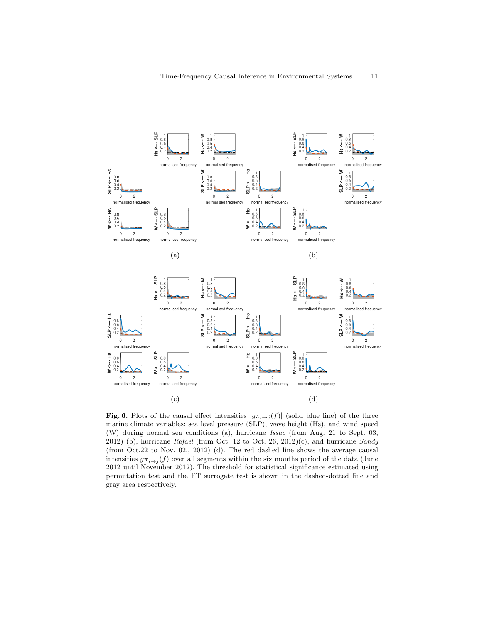

Fig. 6. Plots of the causal effect intensities  $|g\pi_{i\to j}(f)|$  (solid blue line) of the three marine climate variables: sea level pressure (SLP), wave height (Hs), and wind speed (W) during normal sea conditions (a), hurricane Issac (from Aug. 21 to Sept. 03, 2012) (b), hurricane Rafael (from Oct. 12 to Oct. 26, 2012) $(c)$ , and hurricane Sandy (from Oct.22 to Nov. 02., 2012) (d). The red dashed line shows the average causal intensities  $\overline{g\pi}_{i\to j}(f)$  over all segments within the six months period of the data (June 2012 until November 2012). The threshold for statistical significance estimated using permutation test and the FT surrogate test is shown in the dashed-dotted line and gray area respectively.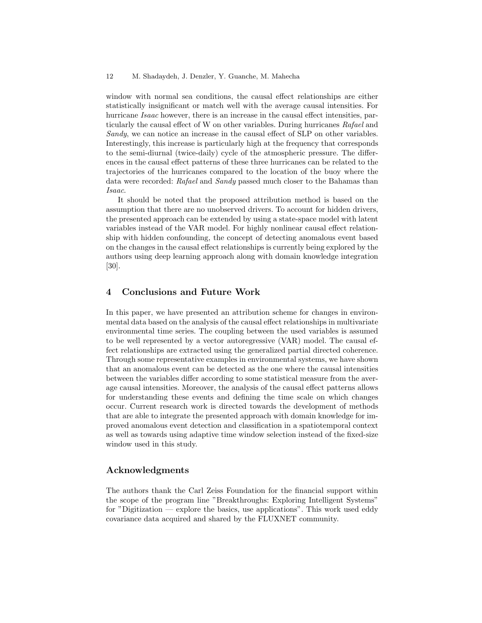#### 12 M. Shadaydeh, J. Denzler, Y. Guanche, M. Mahecha

window with normal sea conditions, the causal effect relationships are either statistically insignificant or match well with the average causal intensities. For hurricane Isaac however, there is an increase in the causal effect intensities, particularly the causal effect of W on other variables. During hurricanes Rafael and Sandy, we can notice an increase in the causal effect of SLP on other variables. Interestingly, this increase is particularly high at the frequency that corresponds to the semi-diurnal (twice-daily) cycle of the atmospheric pressure. The differences in the causal effect patterns of these three hurricanes can be related to the trajectories of the hurricanes compared to the location of the buoy where the data were recorded: Rafael and Sandy passed much closer to the Bahamas than Isaac.

It should be noted that the proposed attribution method is based on the assumption that there are no unobserved drivers. To account for hidden drivers, the presented approach can be extended by using a state-space model with latent variables instead of the VAR model. For highly nonlinear causal effect relationship with hidden confounding, the concept of detecting anomalous event based on the changes in the causal effect relationships is currently being explored by the authors using deep learning approach along with domain knowledge integration [30].

## 4 Conclusions and Future Work

In this paper, we have presented an attribution scheme for changes in environmental data based on the analysis of the causal effect relationships in multivariate environmental time series. The coupling between the used variables is assumed to be well represented by a vector autoregressive (VAR) model. The causal effect relationships are extracted using the generalized partial directed coherence. Through some representative examples in environmental systems, we have shown that an anomalous event can be detected as the one where the causal intensities between the variables differ according to some statistical measure from the average causal intensities. Moreover, the analysis of the causal effect patterns allows for understanding these events and defining the time scale on which changes occur. Current research work is directed towards the development of methods that are able to integrate the presented approach with domain knowledge for improved anomalous event detection and classification in a spatiotemporal context as well as towards using adaptive time window selection instead of the fixed-size window used in this study.

## Acknowledgments

The authors thank the Carl Zeiss Foundation for the financial support within the scope of the program line "Breakthroughs: Exploring Intelligent Systems" for "Digitization — explore the basics, use applications". This work used eddy covariance data acquired and shared by the FLUXNET community.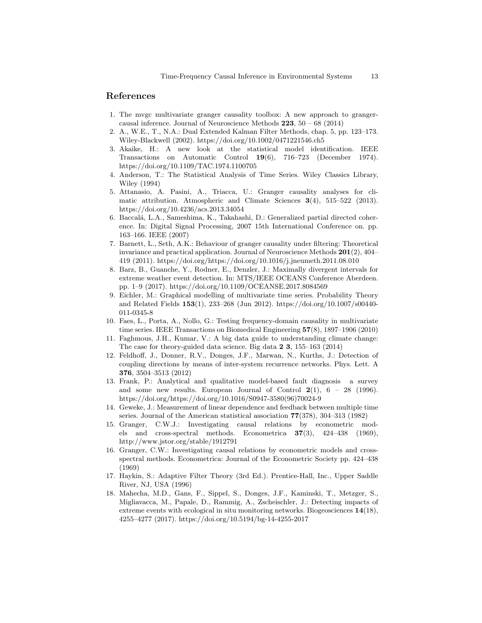## References

- 1. The mvgc multivariate granger causality toolbox: A new approach to grangercausal inference. Journal of Neuroscience Methods 223, 50 – 68 (2014)
- 2. A., W.E., T., N.A.: Dual Extended Kalman Filter Methods, chap. 5, pp. 123–173. Wiley-Blackwell (2002). https://doi.org/10.1002/0471221546.ch5
- 3. Akaike, H.: A new look at the statistical model identification. IEEE Transactions on Automatic Control 19(6), 716–723 (December 1974). https://doi.org/10.1109/TAC.1974.1100705
- 4. Anderson, T.: The Statistical Analysis of Time Series. Wiley Classics Library, Wiley (1994)
- 5. Attanasio, A. Pasini, A., Triacca, U.: Granger causality analyses for climatic attribution. Atmospheric and Climate Sciences 3(4), 515–522 (2013). https://doi.org/10.4236/acs.2013.34054
- 6. Baccal´a, L.A., Sameshima, K., Takahashi, D.: Generalized partial directed coherence. In: Digital Signal Processing, 2007 15th International Conference on. pp. 163–166. IEEE (2007)
- 7. Barnett, L., Seth, A.K.: Behaviour of granger causality under filtering: Theoretical invariance and practical application. Journal of Neuroscience Methods  $201(2)$ , 404– 419 (2011). https://doi.org/https://doi.org/10.1016/j.jneumeth.2011.08.010
- 8. Barz, B., Guanche, Y., Rodner, E., Denzler, J.: Maximally divergent intervals for extreme weather event detection. In: MTS/IEEE OCEANS Conference Aberdeen. pp. 1–9 (2017). https://doi.org/10.1109/OCEANSE.2017.8084569
- 9. Eichler, M.: Graphical modelling of multivariate time series. Probability Theory and Related Fields 153(1), 233–268 (Jun 2012). https://doi.org/10.1007/s00440- 011-0345-8
- 10. Faes, L., Porta, A., Nollo, G.: Testing frequency-domain causality in multivariate time series. IEEE Transactions on Biomedical Engineering 57(8), 1897–1906 (2010)
- 11. Faghmous, J.H., Kumar, V.: A big data guide to understanding climate change: The case for theory-guided data science. Big data 2 3, 155–163 (2014)
- 12. Feldhoff, J., Donner, R.V., Donges, J.F., Marwan, N., Kurths, J.: Detection of coupling directions by means of inter-system recurrence networks. Phys. Lett. A 376, 3504–3513 (2012)
- 13. Frank, P.: Analytical and qualitative model-based fault diagnosis a survey and some new results. European Journal of Control  $2(1)$ ,  $6 - 28$  (1996). https://doi.org/https://doi.org/10.1016/S0947-3580(96)70024-9
- 14. Geweke, J.: Measurement of linear dependence and feedback between multiple time series. Journal of the American statistical association 77(378), 304–313 (1982)
- 15. Granger, C.W.J.: Investigating causal relations by econometric models and cross-spectral methods. Econometrica 37(3), 424–438 (1969), http://www.jstor.org/stable/1912791
- 16. Granger, C.W.: Investigating causal relations by econometric models and crossspectral methods. Econometrica: Journal of the Econometric Society pp. 424–438 (1969)
- 17. Haykin, S.: Adaptive Filter Theory (3rd Ed.). Prentice-Hall, Inc., Upper Saddle River, NJ, USA (1996)
- 18. Mahecha, M.D., Gans, F., Sippel, S., Donges, J.F., Kaminski, T., Metzger, S., Migliavacca, M., Papale, D., Rammig, A., Zscheischler, J.: Detecting impacts of extreme events with ecological in situ monitoring networks. Biogeosciences  $14(18)$ , 4255–4277 (2017). https://doi.org/10.5194/bg-14-4255-2017